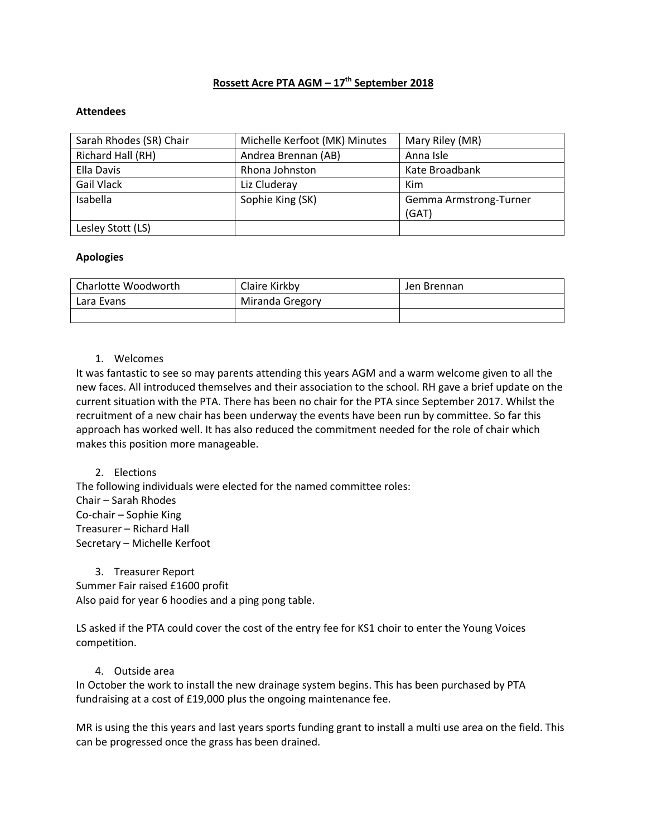# **Rossett Acre PTA AGM – 17th September 2018**

#### **Attendees**

| Sarah Rhodes (SR) Chair | Michelle Kerfoot (MK) Minutes | Mary Riley (MR)        |  |
|-------------------------|-------------------------------|------------------------|--|
| Richard Hall (RH)       | Andrea Brennan (AB)           | Anna Isle              |  |
| Ella Davis              | Rhona Johnston                | Kate Broadbank         |  |
| Gail Vlack              | Liz Cluderay                  | Kim                    |  |
| Isabella                | Sophie King (SK)              | Gemma Armstrong-Turner |  |
|                         |                               | (GAT)                  |  |
| Lesley Stott (LS)       |                               |                        |  |

#### **Apologies**

| Charlotte Woodworth | Claire Kirkby   | Jen Brennan |
|---------------------|-----------------|-------------|
| Lara Evans          | Miranda Gregory |             |
|                     |                 |             |

#### 1. Welcomes

It was fantastic to see so may parents attending this years AGM and a warm welcome given to all the new faces. All introduced themselves and their association to the school. RH gave a brief update on the current situation with the PTA. There has been no chair for the PTA since September 2017. Whilst the recruitment of a new chair has been underway the events have been run by committee. So far this approach has worked well. It has also reduced the commitment needed for the role of chair which makes this position more manageable.

## 2. Elections

The following individuals were elected for the named committee roles: Chair – Sarah Rhodes Co-chair – Sophie King Treasurer – Richard Hall Secretary – Michelle Kerfoot

3. Treasurer Report Summer Fair raised £1600 profit

Also paid for year 6 hoodies and a ping pong table.

LS asked if the PTA could cover the cost of the entry fee for KS1 choir to enter the Young Voices competition.

## 4. Outside area

In October the work to install the new drainage system begins. This has been purchased by PTA fundraising at a cost of £19,000 plus the ongoing maintenance fee.

MR is using the this years and last years sports funding grant to install a multi use area on the field. This can be progressed once the grass has been drained.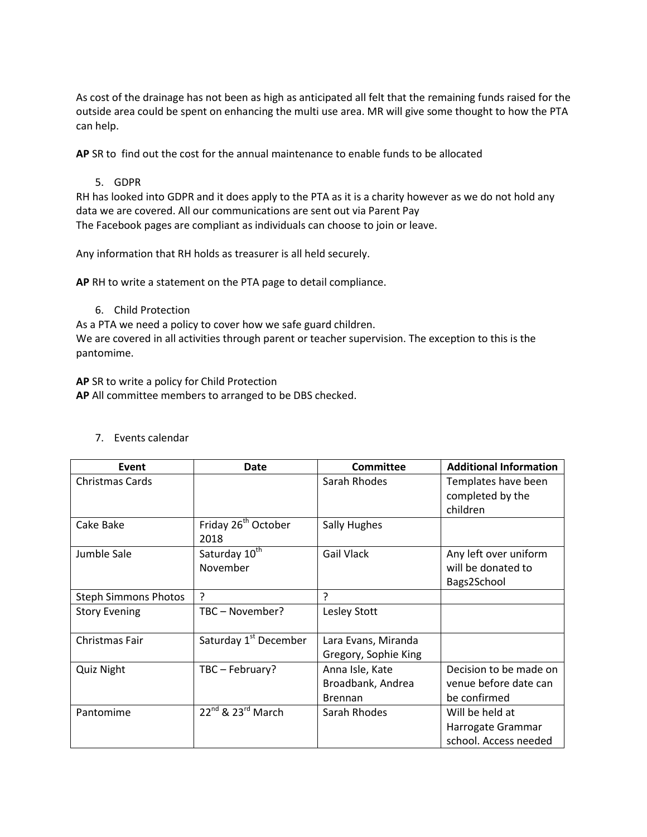As cost of the drainage has not been as high as anticipated all felt that the remaining funds raised for the outside area could be spent on enhancing the multi use area. MR will give some thought to how the PTA can help.

**AP** SR to find out the cost for the annual maintenance to enable funds to be allocated

## 5. GDPR

RH has looked into GDPR and it does apply to the PTA as it is a charity however as we do not hold any data we are covered. All our communications are sent out via Parent Pay The Facebook pages are compliant as individuals can choose to join or leave.

Any information that RH holds as treasurer is all held securely.

**AP** RH to write a statement on the PTA page to detail compliance.

6. Child Protection

As a PTA we need a policy to cover how we safe guard children. We are covered in all activities through parent or teacher supervision. The exception to this is the pantomime.

**AP** SR to write a policy for Child Protection **AP** All committee members to arranged to be DBS checked.

| Event                       | <b>Date</b>                             | <b>Committee</b>                                       | <b>Additional Information</b>                                   |
|-----------------------------|-----------------------------------------|--------------------------------------------------------|-----------------------------------------------------------------|
| <b>Christmas Cards</b>      |                                         | Sarah Rhodes                                           | Templates have been<br>completed by the<br>children             |
| Cake Bake                   | Friday 26 <sup>th</sup> October<br>2018 | Sally Hughes                                           |                                                                 |
| Jumble Sale                 | Saturday 10 <sup>th</sup><br>November   | Gail Vlack                                             | Any left over uniform<br>will be donated to<br>Bags2School      |
| <b>Steph Simmons Photos</b> | ç                                       | ς                                                      |                                                                 |
| <b>Story Evening</b>        | TBC - November?                         | <b>Lesley Stott</b>                                    |                                                                 |
| Christmas Fair              | Saturday 1 <sup>st</sup> December       | Lara Evans, Miranda<br>Gregory, Sophie King            |                                                                 |
| <b>Quiz Night</b>           | TBC - February?                         | Anna Isle, Kate<br>Broadbank, Andrea<br><b>Brennan</b> | Decision to be made on<br>venue before date can<br>be confirmed |
| Pantomime                   | $22^{nd}$ & $23^{rd}$ March             | Sarah Rhodes                                           | Will be held at<br>Harrogate Grammar<br>school. Access needed   |

## 7. Events calendar